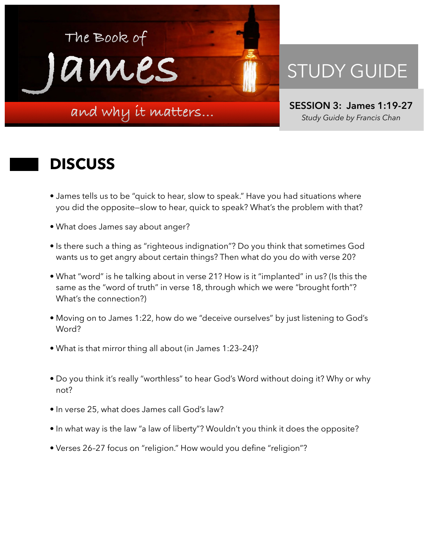

## STUDY GUIDE

**SESSION 3: James 1:19-27**  *Study Guide by Francis Chan*

## **DISCUSS**

- James tells us to be "quick to hear, slow to speak." Have you had situations where you did the opposite—slow to hear, quick to speak? What's the problem with that?
- What does James say about anger?
- Is there such a thing as "righteous indignation"? Do you think that sometimes God wants us to get angry about certain things? Then what do you do with verse 20?
- What "word" is he talking about in verse 21? How is it "implanted" in us? (Is this the same as the "word of truth" in verse 18, through which we were "brought forth"? What's the connection?)
- Moving on to James 1:22, how do we "deceive ourselves" by just listening to God's Word?
- What is that mirror thing all about (in James 1:23–24)?
- Do you think it's really "worthless" to hear God's Word without doing it? Why or why not?
- In verse 25, what does James call God's law?
- In what way is the law "a law of liberty"? Wouldn't you think it does the opposite?
- Verses 26–27 focus on "religion." How would you define "religion"?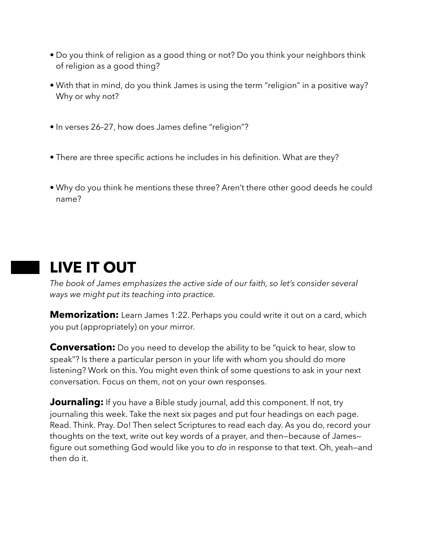- Do you think of religion as a good thing or not? Do you think your neighbors think of religion as a good thing?
- With that in mind, do you think James is using the term "religion" in a positive way? Why or why not?
- In verses 26–27, how does James define "religion"?
- There are three specific actions he includes in his definition. What are they?
- Why do you think he mentions these three? Aren't there other good deeds he could name?

## **LIVE IT OUT**

*The book of James emphasizes the active side of our faith, so let's consider several ways we might put its teaching into practice.* 

**Memorization:** Learn James 1:22. Perhaps you could write it out on a card, which you put (appropriately) on your mirror.

**Conversation:** Do you need to develop the ability to be "quick to hear, slow to speak"? Is there a particular person in your life with whom you should do more listening? Work on this. You might even think of some questions to ask in your next conversation. Focus on them, not on your own responses.

**Journaling:** If you have a Bible study journal, add this component. If not, try journaling this week. Take the next six pages and put four headings on each page. Read. Think. Pray. Do! Then select Scriptures to read each day. As you do, record your thoughts on the text, write out key words of a prayer, and then—because of James figure out something God would like you to *do* in response to that text. Oh, yeah—and then do it.